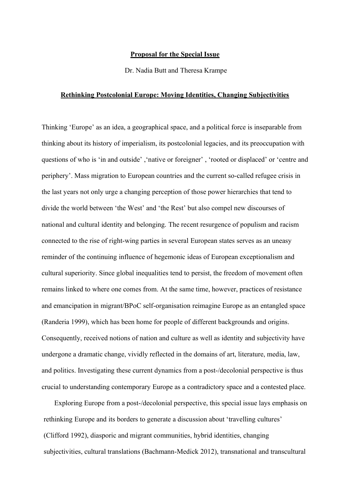## **Proposal for the Special Issue**

Dr. Nadia Butt and Theresa Krampe

## **Rethinking Postcolonial Europe: Moving Identities, Changing Subjectivities**

Thinking 'Europe' as an idea, a geographical space, and a political force is inseparable from thinking about its history of imperialism, its postcolonial legacies, and its preoccupation with questions of who is 'in and outside' ,'native or foreigner' , 'rooted or displaced' or 'centre and periphery'. Mass migration to European countries and the current so-called refugee crisis in the last years not only urge a changing perception of those power hierarchies that tend to divide the world between 'the West' and 'the Rest' but also compel new discourses of national and cultural identity and belonging. The recent resurgence of populism and racism connected to the rise of right-wing parties in several European states serves as an uneasy reminder of the continuing influence of hegemonic ideas of European exceptionalism and cultural superiority. Since global inequalities tend to persist, the freedom of movement often remains linked to where one comes from. At the same time, however, practices of resistance and emancipation in migrant/BPoC self-organisation reimagine Europe as an entangled space (Randeria 1999), which has been home for people of different backgrounds and origins. Consequently, received notions of nation and culture as well as identity and subjectivity have undergone a dramatic change, vividly reflected in the domains of art, literature, media, law, and politics. Investigating these current dynamics from a post-/decolonial perspective is thus crucial to understanding contemporary Europe as a contradictory space and a contested place.

Exploring Europe from a post-/decolonial perspective, this special issue lays emphasis on rethinking Europe and its borders to generate a discussion about 'travelling cultures' (Clifford 1992), diasporic and migrant communities, hybrid identities, changing subjectivities, cultural translations (Bachmann-Medick 2012), transnational and transcultural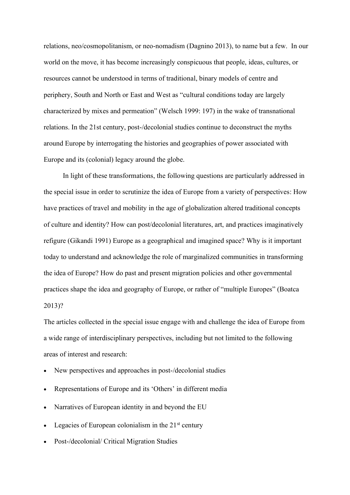relations, neo/cosmopolitanism, or neo-nomadism (Dagnino 2013), to name but a few. In our world on the move, it has become increasingly conspicuous that people, ideas, cultures, or resources cannot be understood in terms of traditional, binary models of centre and periphery, South and North or East and West as "cultural conditions today are largely characterized by mixes and permeation" (Welsch 1999: 197) in the wake of transnational relations. In the 21st century, post-/decolonial studies continue to deconstruct the myths around Europe by interrogating the histories and geographies of power associated with Europe and its (colonial) legacy around the globe.

In light of these transformations, the following questions are particularly addressed in the special issue in order to scrutinize the idea of Europe from a variety of perspectives: How have practices of travel and mobility in the age of globalization altered traditional concepts of culture and identity? How can post/decolonial literatures, art, and practices imaginatively refigure (Gikandi 1991) Europe as a geographical and imagined space? Why is it important today to understand and acknowledge the role of marginalized communities in transforming the idea of Europe? How do past and present migration policies and other governmental practices shape the idea and geography of Europe, or rather of "multiple Europes" (Boatca 2013)?

The articles collected in the special issue engage with and challenge the idea of Europe from a wide range of interdisciplinary perspectives, including but not limited to the following areas of interest and research:

- New perspectives and approaches in post-/decolonial studies
- Representations of Europe and its 'Others' in different media
- Narratives of European identity in and beyond the EU
- Legacies of European colonialism in the  $21<sup>st</sup>$  century
- Post-/decolonial/ Critical Migration Studies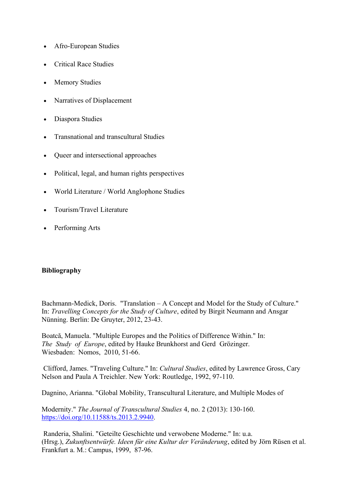- Afro-European Studies
- Critical Race Studies
- Memory Studies
- Narratives of Displacement
- Diaspora Studies
- Transnational and transcultural Studies
- Queer and intersectional approaches
- Political, legal, and human rights perspectives
- World Literature / World Anglophone Studies
- Tourism/Travel Literature
- Performing Arts

## **Bibliography**

Bachmann-Medick, Doris. "Translation – A Concept and Model for the Study of Culture." In: *Travelling Concepts for the Study of Culture*, edited by Birgit Neumann and Ansgar Nünning. Berlin: De Gruyter, 2012, 23-43.

Boatcă, Manuela. "Multiple Europes and the Politics of Difference Within." In: *The Study of Europe*, edited by Hauke Brunkhorst and Gerd Grözinger. Wiesbaden: Nomos, 2010, 51-66.

Clifford, James. "Traveling Culture." In: *Cultural Studies*, edited by Lawrence Gross, Cary Nelson and Paula A Treichler. New York: Routledge, 1992, 97-110.

Dagnino, Arianna. "Global Mobility, Transcultural Literature, and Multiple Modes of

Modernity." *The Journal of Transcultural Studies* 4, no. 2 (2013): 130-160. [https://doi.org/10.11588/ts.2013.2.9940.](https://doi.org/10.11588/ts.2013.2.9940)

Randeria, Shalini. "Geteilte Geschichte und verwobene Moderne." In: u.a. (Hrsg.), *Zukunftsentwürfe. Ideen für eine Kultur der Veränderung*, edited by Jörn Rüsen et al. Frankfurt a. M.: Campus, 1999, 87-96.